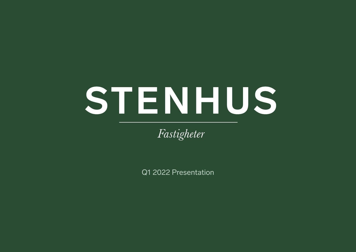# STENHUS

Fastigheter

Q1 2022 Presentation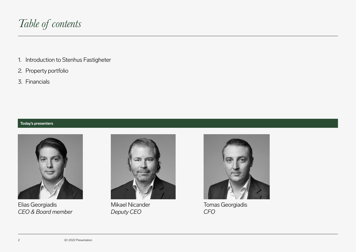

- 1. Introduction to Stenhus Fastigheter
- 2. Property portfolio
- 3. Financials

## **Today's presenters**



Elias Georgiadis *CEO & Board member*



Mikael Nicander *Deputy CEO*



Tomas Georgiadis *CFO*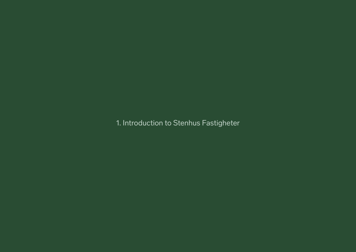1. Introduction to Stenhus Fastigheter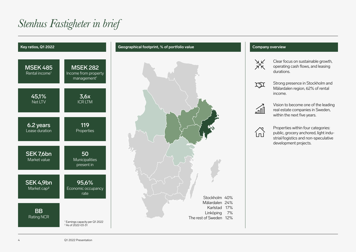# *Stenhus Fastigheter in brief*







Clear focus on sustainable growth, operating cash flows, and leasing durations.



Strong presence in Stockholm and Mälardalen region, 62% of rental income.



Vision to become one of the leading real estate companies in Sweden, within the next five years.



Properties within four categories: public, grocery anchored, light industrial/logistics and non-speculative development projects.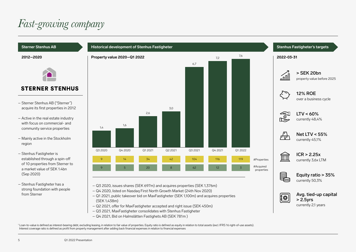# *Fast-growing company*

## **Sterner Stenhus AB**

#### **2012–2020**



## **STERNER STENHUS**

- Sterner Stenhus AB ("Sterner") acquire its first properties in 2012
- Active in the real estate industry with focus on commercial- and community service properties
- Mainly active in the Stockholm region
- Stenhus Fastigheter is established through a spin-off of 10 properties from Sterner to a market value of SEK 1.4bn (Sep 2020)
- Stenhus Fastigheter has a strong foundation with people from Sterner



- Q3 2020, issues shares (SEK 697m) and acquires properties (SEK 1,376m)
- Q4 2020, listed on Nasdaq First North Growth Market (24th Nov 2020)
- Q1 2021, public takeover bid on MaxFastigheter (SEK 1,100m) and acquires properties (SEK 1,438m)
- Q2 2021, offer for MaxFastigheter accepted and right issue (SEK 450m)
- Q3 2021, MaxFastigheter consolidates with Stenhus Fastigheter
- Q4 2021, Bid on Halmslätten Fastighets AB (SEK 781m )



**Stenhus Fastigheter's targets**

currently 2,1 years

<sup>1</sup> Loan-to-value is defined as interest-bearing debt, excluding leasing, in relation to fair value of properties. Equity ratio is defined as equity in relation to total assets (excl. IFRS 16 right-of-use assets). Interest coverage ratio is defined as profit from property management after adding back financial expenses in relation to financial expenses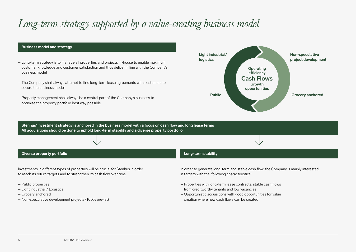## *Long-term strategy supported by a value-creating business model*

#### **Business model and strategy**

- Long-term strategy is to manage all properties and projects in-house to enable maximum customer knowledge and customer satisfaction and thus deliver in line with the Company's business model
- The Company shall always attempt to find long-term lease agreements with costumers to secure the business model
- Property management shall always be a central part of the Company's business to optimise the property portfolio best way possible



**Stenhus' investment strategy is anchored in the business model with a focus on cash flow and long lease terms All acquisitions should be done to uphold long-term stability and a diverse property portfolio**

#### **Diverse property portfolio**

Investments in different types of properties will be crucial for Stenhus in order to reach its return targets and to strengthen its cash flow over time

- Public properties
- Light industrial / Logistics
- Grocery anchored
- Non-speculative development projects (100% pre-let)

#### **Long-term stability**

In order to generate long-term and stable cash flow, the Company is mainly interested in targets with the following characteristics:

- Properties with long-term lease contracts, stable cash flows from creditworthy tenants and low vacancies
- Opportunistic acquisitions with good opportunities for value creation where new cash flows can be created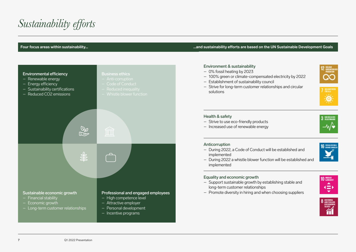# *Sustainability efforts*

#### **Four focus areas within sustainability… …and sustainability efforts are based on the UN Sustainable Development Goals**



#### Environment & sustainability

- 0% fossil heating by 2023
- 100% green or climate-compensated electricity by 2022
- Establishment of sustainability council
- Strive for long-term customer relationships and circular solutions





3 GOD HALSA OC

#### Health & safety

- Strive to use eco-friendly products
- Increased use of renewable energy

#### Anticorruption

– During 2022, a Code of Conduct will be established and implemented



– During 2022 a whistle blower function will be established and implemented

## Equality and economic growth

- Support sustainable growth by establishing stable and long-term customer relationships
- Promote diversity in hiring and when choosing suppliers



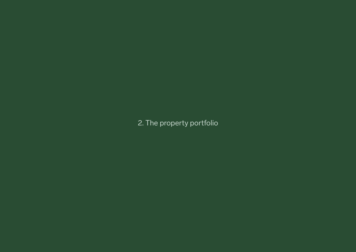2. The property portfolio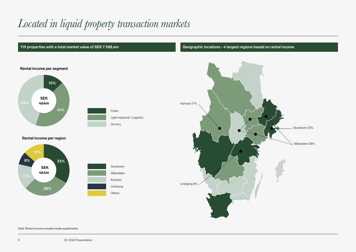# *Located in liquid property transaction markets*



Note: Rental income excludes media supplements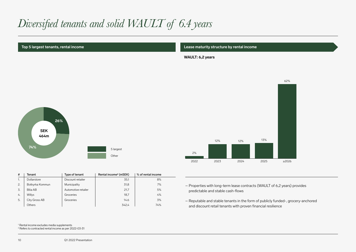# *Diversified tenants and solid WAULT of 6.4 years*

**Top 5 largest tenants, rental income Lease maturity structure by rental income**

**WAULT: 6,2 years**



| #  | Tenant             | Type of tenant      | Rental income <sup>2</sup> (mSEK) | % of rental income |
|----|--------------------|---------------------|-----------------------------------|--------------------|
|    | <b>Dollarstore</b> | Discount retailer   | 35,1                              | 8%                 |
| 2. | Botkyrka Kommun    | Municipality        | 31,8                              | 7%                 |
| 3. | Bilia AB           | Automotive retailer | 21.7                              | 5%                 |
| 4. | Willys             | Groceries           | 18.7                              | 4%                 |
| 5. | City Gross AB      | Groceries           | 14.6                              | 3%                 |
|    | Others             |                     | 342.4                             | 74%                |



– Properties with long-term lease contracts (WAULT of 6,2 years) provides predictable and stable cash-flows

– Reputable and stable tenants in the form of publicly funded-, grocery-anchored and discount retail tenants with proven financial resilience

1 Rental income excludes media supplements

2 Refers to contracted rental income as per 2022-03-31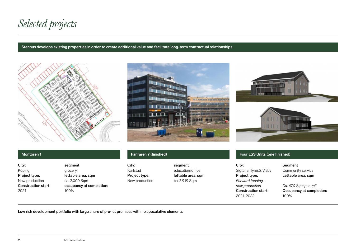*Selected projects*

#### **Stenhus develops existing properties in order to create additional value and facilitate long-term contractual relationships**









| City:                      | segment                  |
|----------------------------|--------------------------|
| Köping                     | grocery                  |
| Project type:              | lettable area, sqm       |
| New production             | ca. 2,000 Sqm            |
| <b>Construction start:</b> | occupancy at completion: |
| 2021                       | 100%                     |
|                            |                          |

City: segment Karlstad education/office New production ca. 3,919 Sqm

Project type: lettable area, sqm

## **Montören 1 Fanfaren 7 (finished) Four LSS Units (one finished)**

| City:                  |
|------------------------|
| Sigtuna, Tyresö, Visby |
| Project type:          |
| Forward funding -      |
| new production         |
| Construction start:    |
| 2021-2022              |

Segment Community service Lettable area, sqm

Ca. 470 Sqm per unit Occupancy at completion: 100%

Low risk development portfolio with large share of pre-let premises with no speculative elements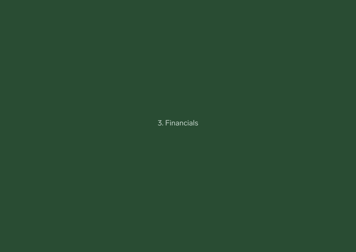## 3. Financials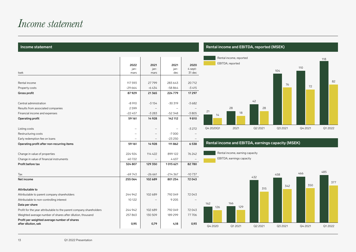## *Income statement*

#### **Income statement**

|                                                                     | 2022     | 2021     | 2021      | 2020     |
|---------------------------------------------------------------------|----------|----------|-----------|----------|
|                                                                     | jan-     | jan-     | jan-      | 4 sept-  |
| tsek                                                                | mars     | mars     | dec       | 31 dec   |
|                                                                     |          |          |           |          |
| Rental income                                                       | 117 593  | 27799    | 283 643   | 20712    |
| Property costs                                                      | $-29664$ | $-6434$  | $-58864$  | $-3415$  |
| Gross profit                                                        | 87929    | 21365    | 224 779   | 17297    |
|                                                                     |          |          |           |          |
| Central administration                                              | $-8910$  | $-3154$  | $-30319$  | $-3682$  |
| Results from associated companies                                   | 2599     |          |           |          |
| Financial income and expenses                                       | $-22457$ | $-3283$  | -52348    | $-3805$  |
| Operating profit                                                    | 59 161   | 14 9 28  | 142 112   | 9810     |
|                                                                     |          |          |           |          |
| Listing costs                                                       |          |          |           | $-3272$  |
| Restructuring costs                                                 |          |          | $-7000$   |          |
| Early redemption fee on loans                                       |          |          | $-23250$  |          |
| Operating profit after non-recurring items                          | 59 161   | 14 9 28  | 111862    | 6538     |
|                                                                     |          |          |           |          |
| Change in value of properties                                       | 224 924  | 114 422  | 899 122   | 76 242   |
| Change in value of financial instruments                            | 40722    |          | 4637      |          |
| Profit before tax                                                   | 324 807  | 129 350  | 1015621   | 82780    |
|                                                                     |          |          |           |          |
| Tax                                                                 | $-69743$ | $-26661$ | $-214367$ | $-10737$ |
| Net income                                                          | 255 064  | 102 689  | 801254    | 72043    |
|                                                                     |          |          |           |          |
| Attributable to                                                     |          |          |           |          |
| Attributable to parent company shareholders                         | 244 942  | 102 689  | 792049    | 72043    |
| Attributable to non-controlling interest                            | 10 122   |          | 9 2 0 5   |          |
| Data per share                                                      |          |          |           |          |
| Profit for the year attributable to the parent company shareholders | 244 942  | 102 689  | 792049    | 72043    |
| Weighted average number of shares after dilution, thousand          | 257863   | 130 509  | 189 299   | 77706    |
| Profit per weighted average number of shares                        |          |          |           |          |
| after dilution, sek                                                 | 0,95     | 0,79     | 4,18      | 0,93     |

 **Rental income and EBITDA, reported (MSEK)**



## **Rental income and EBITDA, earnings capacity (MSEK)**



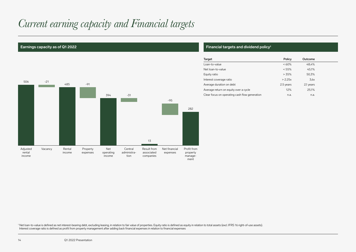# *Current earning capacity and Financial targets*



#### **Earnings capacity as of Q1 2022** *Capacity as of Q1 2022* **<b>Financial targets and dividend policy<sup>1</sup>**

| Target                                        | Policy    | Outcome   |
|-----------------------------------------------|-----------|-----------|
| Loan-to-value                                 | $<60\%$   | 48.4%     |
| Net loan-to-value                             | < 55%     | 45.1%     |
| Equity ratio                                  | > 35%     | 50,3%     |
| Interest coverage ratio                       | > 2.25x   | 3.6x      |
| Average duration on debt                      | 2.5 years | 2,1 years |
| Average return on equity over a cycle         | 12%       | 25.1%     |
| Clear focus on operating cash flow generation | n.a.      | n.a.      |

<sup>1</sup> Net loan-to-value is defined as net interest-bearing debt, excluding leasing, in relation to fair value of properties. Equity ratio is defined as equity in relation to total assets (excl. IFRS 16 right-of-use assets). Interest coverage ratio is defined as profit from property management after adding back financial expenses in relation to financial expenses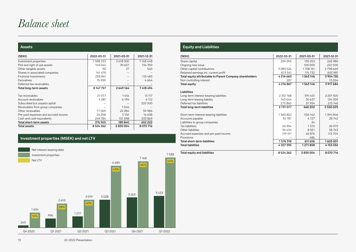## *Balance sheet*

#### **Assets**

| (SEKt)                               | 2022-03-31 | 2021-03-31 | 2021-12-31 |
|--------------------------------------|------------|------------|------------|
| Investment properties                | 7588353    | 2 618 500  | 7168448    |
| Plot and right of use assets         | 143044     | 30 637     | 134 359    |
| Other tangible assets                | 90         | 27         | 540        |
| Shares in associated companies       | 141 479    |            |            |
| Financial investments                | 258 841    |            | 110483     |
| Derivatives                          | 15 9 50    |            | 4664       |
| Deferred tax-receivables             |            |            |            |
| Total long-term assets               | 8 147 757  | 2649164    | 7418494    |
| Tax-receivables                      | 21 0 7 7   | 1616       | 13 117     |
| Account receivables                  | 4381       | 6 1 9 4    | 6 1 1 2    |
| Subscribed but unpaid capital        |            |            | 222 500    |
| Receivables from group companies     |            | 1046       |            |
| Other receivables                    | 77005      | 22 284     | 59 986     |
| Pre-paid expenses and accrued income | 24 2 5 8   | 3 1 0 2    | 16 638     |
| Cash and cash equivalents            | 249784     | 151 598    | 333869     |
| Total short-term assets              | 376 505    | 185840     | 652 222    |
| Total assets                         | 8524262    | 2835004    | 8070716    |

## **Investment properties (MSEK) and net LTV**



## **Equity and Liabilities**

| (SEKt)                                                   | 2022-03-31 | 2021-03-31 | 2021-12-31 |
|----------------------------------------------------------|------------|------------|------------|
| Share capital                                            | 259 595    | 130 253    | 248 980    |
| Ongoing new issue                                        |            | 100 000    | 222,500    |
| Other capital contributions                              | 3083524    | 1158161    | 2798669    |
| Retained earnings inc. current profit                    | 873 541    | 174732     | 633 981    |
| Total equity attributable to Parent Company shareholders | 4216660    | 1563146    | 3 904 130  |
| Non controlling interest                                 | 207        |            | 13 5 5 4   |
| <b>Total equity</b>                                      | 4216867    | 1563146    | 3 917 684  |
| Liabilities                                              |            |            |            |
| Long-term interest-bearing liabilities                   | 2 312 168  | 591 631    | 2 201 9 20 |
| Long-term leasing liability                              | 143 044    | 30 637     | 134 359    |
| Deferred tax liabilities                                 | 275 865    | 37934      | 213746     |
| Total long-term liabilities                              | 2731077    | 660 202    | 2550025    |
| Short-term interest-bearing liabilities                  | 1360852    | 556142     | 1394846    |
| Accounts payable                                         | 32787      | 4727       | 28742      |
| Liabilities to group companies                           |            | 34         |            |
| <b>Tax liabilities</b>                                   | 26934      | 1370       | 26 972     |
| Other liabilities                                        | 36434      | 8021       | 38743      |
| Accrued expenses and pre-paid income                     | 119 311    | 40876      | 113704     |
| Provisions                                               |            | 486        |            |
| Total short-term liabilities                             | 1576318    | 611 656    | 1603007    |
| <b>Total liabilities</b>                                 | 4307395    | 1271858    | 4153032    |
| Total equity and liabilities                             | 8524262    | 2835004    | 8070716    |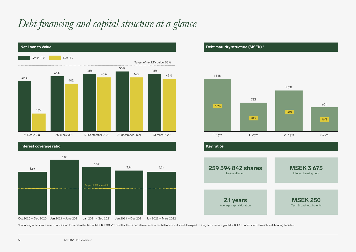# *Debt financing and capital structure at a glance*



Oct 2020 – Dec 2020  $\,$  Jan 2021 – June 2021  $\,$  Jan 2021 – Sep 2021  $\,$  Jan 2021 – Dec 2021  $\,$  Jan 2022 – Mars 2022





1 Excluding interest rate swaps. In addition to credit maturities of MSEK 1,318 ≤12 months, the Group also reports in the balance sheet short-term part of long-term financing of MSEK 43.2 under short-term interest-bearing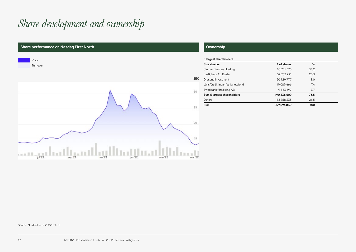# *Share development and ownership*

## **Share performance on Nasdaq First North Ownership Channel Community Community Community Ownership**



| Shareholder                     | # of shares | %    |
|---------------------------------|-------------|------|
| Sterner Stenhus Holding         | 88 701 378  | 34.2 |
| Fastighets AB Balder            | 52752291    | 20,3 |
| Öresund Investment              | 20729777    | 8,0  |
| Länsförsäkringar fastighetsfond | 19 089 466  | 7.4  |
| Swedbank försäkring AB          | 9 563 697   | 3,7  |
| Sum 5 largest shareholders      | 190 836 609 | 73,5 |
| Others                          | 68758233    | 26,5 |
| Sum                             | 259 594 842 | 100  |

Source: Nordnet as of 2022-03-31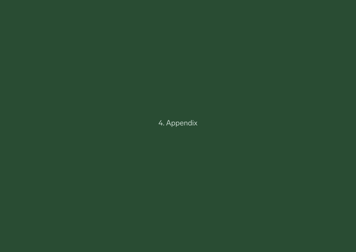4. Appendix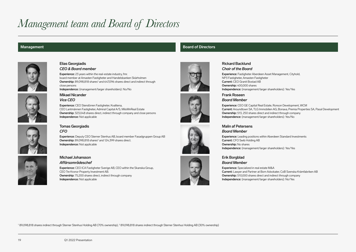# *Management team and Board of Directors*



#### Elias Georgiadis *CEO & Board member*

Mikael Nicander *Vice CEO*

Independence: Not applicable

Experience: 23 years within the real-estate industry, fmr. board member at Amasten Fastigheter and Handelsbanken Skärholmen Ownership: 89,098,818 shares<sup>1</sup> and 647,096 shares direct and indirect through close persons

Independence: (management/larger shareholders): No/No

CEO Lantmännen Fastigheter, Admiral Capital A/S, MiloMnReal Estate Ownership: 323,048 shares direct, indirect through company and close persons

Experience: CEO Stendörren Fastigheter, Kvalitena,

#### Tomas Georgiadis *CFO*

Experience: Deputy CEO Sterner Stenhus AB, board member Fasadgruppen Group AB **Ownership:** 89,098,818 shares $^2$  and 124,399 shares direct. Independence: Not applicable



#### Michael Johansson *Affärsområdeschef*

Experience: CEO ICA Fastigheter Sverige AB, CEO within the Skanska Group, CEO Tre Kronor Property Investment AB. Ownership: 75,200 shares direct, indirect through company Independence: Not applicable



### Rickard Backlund *Chair of the Board*

Experience: Fastigheter Aberdeen Asset Management, Cityhold, NP3 Fastigheter, Amasten Fastigheter Current: CEO Granit Bostad AB Ownership: 400,000 shares Independence: (management/larger shareholders): Yes/Yes

Ownership: 513, 250 shares direct and indirect through company Independence: (management/larger shareholders): Yes/No

Frank Roseen *Board Member* Experience: CEO GE Capital Real Estate, Ronson Development, WCM Current: Aroundtown SA, TLG Immobilien AG, Bonava, Premia Properties SA, Pasal Development

#### Malin af Petersens *Board Member*

Experience: Leading positions within Aberdeen Standard Investments Current: CFO Swib Holding AB Ownership: No shares Independence: (management/larger shareholders): Yes/Yes

### Erik Borgblad *Board Member*

Experience: Specialized in real estate M&A Current: Lawyer and Partner at Born Advokater, CoB Svenska Krämfabriken AB Ownership: 510,000 shares direct and indirect through company Independence: (management/larger shareholders): No/Yes





<sup>1</sup> 89,098,818 shares indirect through Sterner Stenhus Holding AB (70% ownership), <sup>2</sup> 89,098,818 shares indirect through Sterner Stenhus Holding AB (30% ownership)